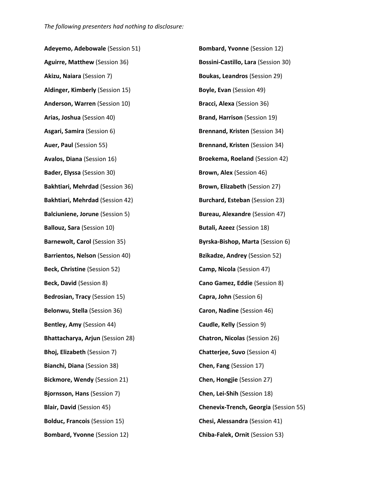**Adeyemo, Adebowale** (Session 51) **Aguirre, Matthew** (Session 36) **Akizu, Naiara** (Session 7) **Aldinger, Kimberly** (Session 15) **Anderson, Warren** (Session 10) **Arias, Joshua** (Session 40) **Asgari, Samira** (Session 6) **Auer, Paul** (Session 55) **Avalos, Diana** (Session 16) **Bader, Elyssa** (Session 30) **Bakhtiari, Mehrdad** (Session 36) **Bakhtiari, Mehrdad** (Session 42) **Balciuniene, Jorune** (Session 5) **Ballouz, Sara** (Session 10) **Barnewolt, Carol** (Session 35) **Barrientos, Nelson** (Session 40) **Beck, Christine** (Session 52) **Beck, David** (Session 8) **Bedrosian, Tracy** (Session 15) **Belonwu, Stella** (Session 36) **Bentley, Amy** (Session 44) **Bhattacharya, Arjun** (Session 28) **Bhoj, Elizabeth** (Session 7) **Bianchi, Diana** (Session 38) **Bickmore, Wendy** (Session 21) **Bjornsson, Hans** (Session 7) **Blair, David** (Session 45) **Bolduc, Francois** (Session 15) **Bombard, Yvonne** (Session 12)

**Bombard, Yvonne** (Session 12) **Bossini-Castillo, Lara** (Session 30) **Boukas, Leandros** (Session 29) **Boyle, Evan** (Session 49) **Bracci, Alexa** (Session 36) **Brand, Harrison** (Session 19) **Brennand, Kristen** (Session 34) **Brennand, Kristen** (Session 34) **Broekema, Roeland** (Session 42) **Brown, Alex** (Session 46) **Brown, Elizabeth** (Session 27) **Burchard, Esteban** (Session 23) **Bureau, Alexandre** (Session 47) **Butali, Azeez** (Session 18) **Byrska-Bishop, Marta** (Session 6) **Bzikadze, Andrey** (Session 52) **Camp, Nicola** (Session 47) **Cano Gamez, Eddie** (Session 8) **Capra, John** (Session 6) **Caron, Nadine** (Session 46) **Caudle, Kelly** (Session 9) **Chatron, Nicolas** (Session 26) **Chatterjee, Suvo** (Session 4) **Chen, Fang** (Session 17) **Chen, Hongjie** (Session 27) **Chen, Lei-Shih** (Session 18) **Chenevix-Trench, Georgia** (Session 55) **Chesi, Alessandra** (Session 41) **Chiba-Falek, Ornit** (Session 53)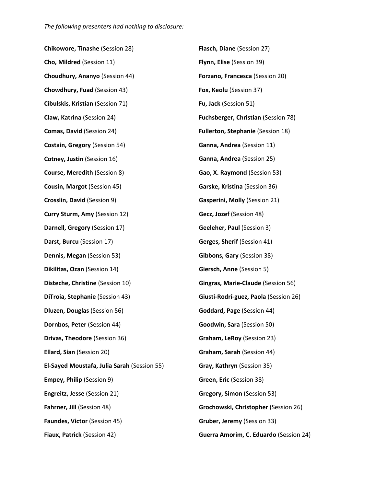**Chikowore, Tinashe** (Session 28) **Cho, Mildred** (Session 11) **Choudhury, Ananyo** (Session 44) **Chowdhury, Fuad** (Session 43) **Cibulskis, Kristian** (Session 71) **Claw, Katrina** (Session 24) **Comas, David** (Session 24) **Costain, Gregory** (Session 54) **Cotney, Justin** (Session 16) **Course, Meredith** (Session 8) **Cousin, Margot** (Session 45) **Crosslin, David** (Session 9) **Curry Sturm, Amy** (Session 12) **Darnell, Gregory** (Session 17) **Darst, Burcu** (Session 17) **Dennis, Megan** (Session 53) **Dikilitas, Ozan** (Session 14) **Disteche, Christine** (Session 10) **DiTroia, Stephanie** (Session 43) **Dluzen, Douglas** (Session 56) **Dornbos, Peter** (Session 44) **Drivas, Theodore** (Session 36) **Ellard, Sian** (Session 20) **El-Sayed Moustafa, Julia Sarah** (Session 55) **Empey, Philip** (Session 9) **Engreitz, Jesse** (Session 21) **Fahrner, Jill** (Session 48) **Faundes, Victor** (Session 45) **Fiaux, Patrick** (Session 42) **Flasch, Diane** (Session 27) **Flynn, Elise** (Session 39) **Forzano, Francesca** (Session 20) **Fox, Keolu** (Session 37) **Fu, Jack** (Session 51) **Fuchsberger, Christian** (Session 78) **Fullerton, Stephanie** (Session 18) **Ganna, Andrea** (Session 11) **Ganna, Andrea** (Session 25) **Gao, X. Raymond** (Session 53) **Garske, Kristina** (Session 36) **Gasperini, Molly** (Session 21) **Gecz, Jozef** (Session 48) **Geeleher, Paul** (Session 3) **Gerges, Sherif** (Session 41) **Gibbons, Gary** (Session 38) **Giersch, Anne** (Session 5) **Gingras, Marie-Claude** (Session 56) **Giusti-Rodrí-guez, Paola** (Session 26) **Goddard, Page** (Session 44) **Goodwin, Sara** (Session 50) **Graham, LeRoy** (Session 23) **Graham, Sarah** (Session 44) **Gray, Kathryn** (Session 35) **Green, Eric** (Session 38) **Gregory, Simon** (Session 53) **Grochowski, Christopher** (Session 26) **Gruber, Jeremy** (Session 33) **Guerra Amorim, C. Eduardo** (Session 24)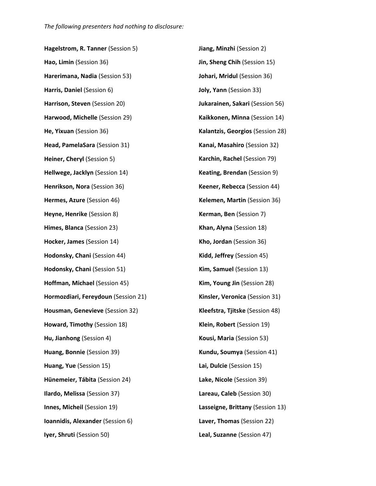**Hagelstrom, R. Tanner** (Session 5) **Hao, Limin** (Session 36) **Harerimana, Nadia** (Session 53) **Harris, Daniel** (Session 6) **Harrison, Steven** (Session 20) **Harwood, Michelle** (Session 29) **He, Yixuan** (Session 36) **Head, PamelaSara** (Session 31) **Heiner, Cheryl** (Session 5) **Hellwege, Jacklyn** (Session 14) **Henrikson, Nora** (Session 36) **Hermes, Azure** (Session 46) **Heyne, Henrike** (Session 8) **Himes, Blanca** (Session 23) **Hocker, James** (Session 14) **Hodonsky, Chani** (Session 44) **Hodonsky, Chani** (Session 51) **Hoffman, Michael** (Session 45) **Hormozdiari, Fereydoun** (Session 21) **Housman, Genevieve** (Session 32) **Howard, Timothy** (Session 18) **Hu, Jianhong** (Session 4) **Huang, Bonnie** (Session 39) **Huang, Yue** (Session 15) **Hünemeier, Tábita** (Session 24) **Ilardo, Melissa** (Session 37) **Innes, Micheil** (Session 19) **Ioannidis, Alexander** (Session 6) **Iyer, Shruti** (Session 50) **Jiang, Minzhi** (Session 2) **Jin, Sheng Chih** (Session 15) **Johari, Mridul** (Session 36) **Joly, Yann** (Session 33) **Jukarainen, Sakari** (Session 56) **Kaikkonen, Minna** (Session 14) **Kalantzis, Georgios** (Session 28) **Kanai, Masahiro** (Session 32) **Karchin, Rachel** (Session 79) **Keating, Brendan** (Session 9) **Keener, Rebecca** (Session 44) **Kelemen, Martin** (Session 36) **Kerman, Ben** (Session 7) **Khan, Alyna** (Session 18) **Kho, Jordan** (Session 36) **Kidd, Jeffrey** (Session 45) **Kim, Samuel** (Session 13) **Kim, Young Jin** (Session 28) **Kinsler, Veronica** (Session 31) **Kleefstra, Tjitske** (Session 48) **Klein, Robert** (Session 19) **Kousi, Maria** (Session 53) **Kundu, Soumya** (Session 41) **Lai, Dulcie** (Session 15) **Lake, Nicole** (Session 39) **Lareau, Caleb** (Session 30) **Lasseigne, Brittany** (Session 13) **Laver, Thomas** (Session 22) **Leal, Suzanne** (Session 47)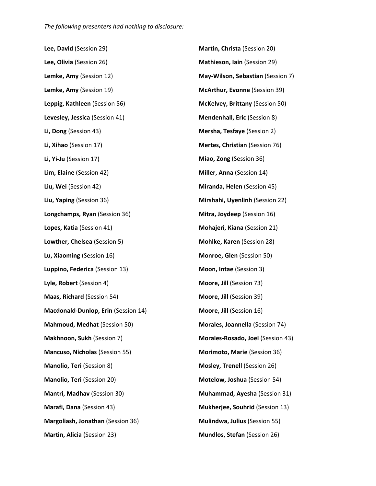**Lee, David** (Session 29) **Lee, Olivia** (Session 26) **Lemke, Amy** (Session 12) **Lemke, Amy** (Session 19) **Leppig, Kathleen** (Session 56) **Levesley, Jessica** (Session 41) **Li, Dong** (Session 43) **Li, Xihao** (Session 17) **Li, Yi-Ju** (Session 17) **Lim, Elaine** (Session 42) **Liu, Wei** (Session 42) **Liu, Yaping** (Session 36) **Longchamps, Ryan** (Session 36) **Lopes, Katia** (Session 41) **Lowther, Chelsea** (Session 5) **Lu, Xiaoming** (Session 16) **Luppino, Federica** (Session 13) **Lyle, Robert** (Session 4) **Maas, Richard** (Session 54) **Macdonald-Dunlop, Erin** (Session 14) **Mahmoud, Medhat** (Session 50) **Makhnoon, Sukh** (Session 7) **Mancuso, Nicholas** (Session 55) **Manolio, Teri** (Session 8) **Manolio, Teri** (Session 20) **Mantri, Madhav** (Session 30) **Marafi, Dana** (Session 43) **Margoliash, Jonathan** (Session 36) **Martin, Alicia** (Session 23)

**Martin, Christa** (Session 20) **Mathieson, Iain** (Session 29) **May-Wilson, Sebastian** (Session 7) **McArthur, Evonne** (Session 39) **McKelvey, Brittany** (Session 50) **Mendenhall, Eric** (Session 8) **Mersha, Tesfaye** (Session 2) **Mertes, Christian** (Session 76) **Miao, Zong** (Session 36) **Miller, Anna** (Session 14) **Miranda, Helen** (Session 45) **Mirshahi, Uyenlinh** (Session 22) **Mitra, Joydeep** (Session 16) **Mohajeri, Kiana** (Session 21) **Mohlke, Karen** (Session 28) **Monroe, Glen** (Session 50) **Moon, Intae** (Session 3) **Moore, Jill** (Session 73) **Moore, Jill** (Session 39) **Moore, Jill** (Session 16) **Morales, Joannella** (Session 74) **Morales-Rosado, Joel** (Session 43) **Morimoto, Marie** (Session 36) **Mosley, Trenell** (Session 26) **Motelow, Joshua** (Session 54) **Muhammad, Ayesha** (Session 31) **Mukherjee, Souhrid** (Session 13) **Mulindwa, Julius** (Session 55) **Mundlos, Stefan** (Session 26)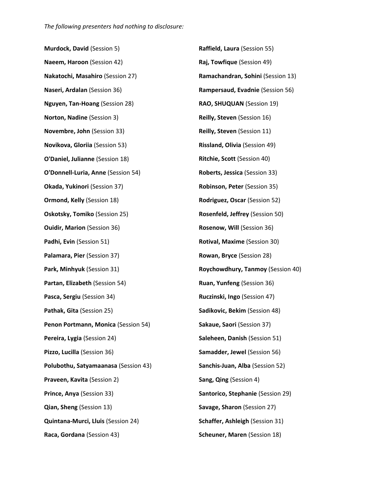**Murdock, David** (Session 5) **Naeem, Haroon** (Session 42) **Nakatochi, Masahiro** (Session 27) **Naseri, Ardalan** (Session 36) **Nguyen, Tan-Hoang** (Session 28) **Norton, Nadine** (Session 3) **Novembre, John** (Session 33) **Novikova, Gloriia** (Session 53) **O'Daniel, Julianne** (Session 18) **O'Donnell-Luria, Anne** (Session 54) **Okada, Yukinori** (Session 37) **Ormond, Kelly** (Session 18) **Oskotsky, Tomiko** (Session 25) **Ouidir, Marion** (Session 36) **Padhi, Evin** (Session 51) **Palamara, Pier** (Session 37) **Park, Minhyuk** (Session 31) **Partan, Elizabeth** (Session 54) **Pasca, Sergiu** (Session 34) **Pathak, Gita** (Session 25) **Penon Portmann, Monica** (Session 54) **Pereira, Lygia** (Session 24) **Pizzo, Lucilla** (Session 36) **Polubothu, Satyamaanasa** (Session 43) **Praveen, Kavita** (Session 2) **Prince, Anya** (Session 33) **Qian, Sheng** (Session 13) **Quintana-Murci, Lluis** (Session 24) **Raca, Gordana** (Session 43) **Raffield, Laura** (Session 55) **Raj, Towfique** (Session 49) **Ramachandran, Sohini** (Session 13) **Rampersaud, Evadnie** (Session 56) **RAO, SHUQUAN** (Session 19) **Reilly, Steven** (Session 16) **Reilly, Steven** (Session 11) **Rissland, Olivia** (Session 49) **Ritchie, Scott** (Session 40) **Roberts, Jessica** (Session 33) **Robinson, Peter** (Session 35) **Rodriguez, Oscar** (Session 52) **Rosenfeld, Jeffrey** (Session 50) **Rosenow, Will** (Session 36) **Rotival, Maxime** (Session 30) **Rowan, Bryce** (Session 28) **Roychowdhury, Tanmoy** (Session 40) **Ruan, Yunfeng** (Session 36) **Ruczinski, Ingo** (Session 47) **Sadikovic, Bekim** (Session 48) **Sakaue, Saori** (Session 37) **Saleheen, Danish** (Session 51) **Samadder, Jewel** (Session 56) **Sanchis-Juan, Alba** (Session 52) **Sang, Qing** (Session 4) **Santorico, Stephanie** (Session 29) **Savage, Sharon** (Session 27) **Schaffer, Ashleigh** (Session 31) **Scheuner, Maren** (Session 18)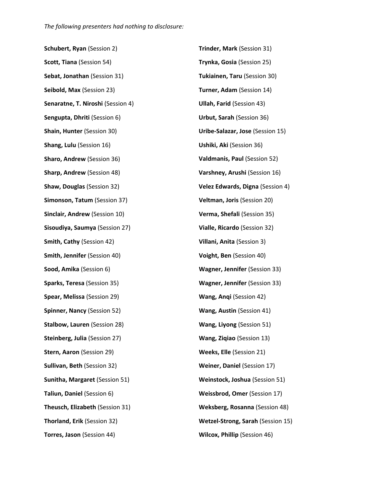**Schubert, Ryan** (Session 2) **Scott, Tiana** (Session 54) **Sebat, Jonathan** (Session 31) **Seibold, Max** (Session 23) **Senaratne, T. Niroshi** (Session 4) **Sengupta, Dhriti** (Session 6) **Shain, Hunter** (Session 30) **Shang, Lulu** (Session 16) **Sharo, Andrew** (Session 36) **Sharp, Andrew** (Session 48) **Shaw, Douglas** (Session 32) **Simonson, Tatum** (Session 37) **Sinclair, Andrew** (Session 10) **Sisoudiya, Saumya** (Session 27) **Smith, Cathy** (Session 42) **Smith, Jennifer** (Session 40) **Sood, Amika** (Session 6) **Sparks, Teresa** (Session 35) **Spear, Melissa** (Session 29) **Spinner, Nancy** (Session 52) **Stalbow, Lauren** (Session 28) **Steinberg, Julia** (Session 27) **Stern, Aaron** (Session 29) **Sullivan, Beth** (Session 32) **Sunitha, Margaret** (Session 51) **Taliun, Daniel** (Session 6) **Theusch, Elizabeth** (Session 31) **Thorland, Erik** (Session 32) **Torres, Jason** (Session 44)

**Trinder, Mark** (Session 31) **Trynka, Gosia** (Session 25) **Tukiainen, Taru** (Session 30) **Turner, Adam** (Session 14) **Ullah, Farid** (Session 43) **Urbut, Sarah** (Session 36) **Uribe-Salazar, Jose** (Session 15) **Ushiki, Aki** (Session 36) **Valdmanis, Paul** (Session 52) **Varshney, Arushi** (Session 16) **Velez Edwards, Digna** (Session 4) **Veltman, Joris** (Session 20) **Verma, Shefali** (Session 35) **Vialle, Ricardo** (Session 32) **Villani, Anita** (Session 3) **Voight, Ben** (Session 40) **Wagner, Jennifer** (Session 33) **Wagner, Jennifer** (Session 33) **Wang, Anqi** (Session 42) **Wang, Austin** (Session 41) **Wang, Liyong** (Session 51) **Wang, Ziqiao** (Session 13) **Weeks, Elle** (Session 21) **Weiner, Daniel** (Session 17) **Weinstock, Joshua** (Session 51) **Weissbrod, Omer** (Session 17) **Weksberg, Rosanna** (Session 48) **Wetzel-Strong, Sarah** (Session 15) **Wilcox, Phillip** (Session 46)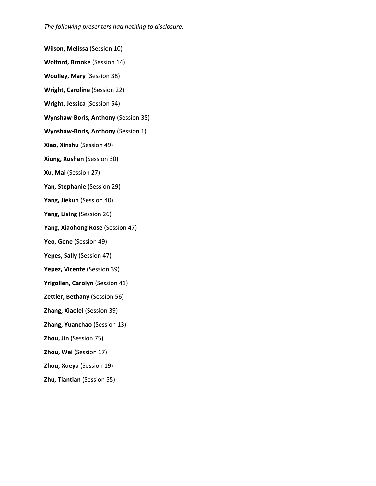**Wilson, Melissa** (Session 10)

**Wolford, Brooke** (Session 14)

**Woolley, Mary** (Session 38)

**Wright, Caroline** (Session 22)

**Wright, Jessica** (Session 54)

**Wynshaw-Boris, Anthony** (Session 38)

**Wynshaw-Boris, Anthony** (Session 1)

**Xiao, Xinshu** (Session 49)

**Xiong, Xushen** (Session 30)

**Xu, Mai** (Session 27)

**Yan, Stephanie** (Session 29)

**Yang, Jiekun** (Session 40)

**Yang, Lixing** (Session 26)

**Yang, Xiaohong Rose** (Session 47)

**Yeo, Gene** (Session 49)

**Yepes, Sally** (Session 47)

**Yepez, Vicente** (Session 39)

**Yrigollen, Carolyn** (Session 41)

**Zettler, Bethany** (Session 56)

**Zhang, Xiaolei** (Session 39)

**Zhang, Yuanchao** (Session 13)

**Zhou, Jin** (Session 75)

**Zhou, Wei** (Session 17)

**Zhou, Xueya** (Session 19)

**Zhu, Tiantian** (Session 55)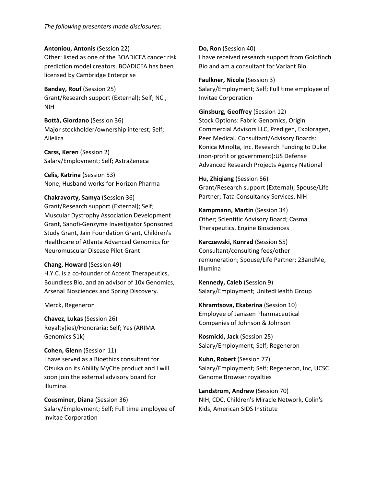**Antoniou, Antonis** (Session 22) Other: listed as one of the BOADICEA cancer risk prediction model creators. BOADICEA has been licensed by Cambridge Enterprise

**Banday, Rouf** (Session 25) Grant/Research support (External); Self; NCI, NIH

**Bottà, Giordano** (Session 36) Major stockholder/ownership interest; Self; Allelica

**Carss, Keren** (Session 2) Salary/Employment; Self; AstraZeneca

**Celis, Katrina** (Session 53) None; Husband works for Horizon Pharma

## **Chakravorty, Samya** (Session 36) Grant/Research support (External); Self; Muscular Dystrophy Association Development Grant, Sanofi-Genzyme Investigator Sponsored Study Grant, Jain Foundation Grant, Children's Healthcare of Atlanta Advanced Genomics for Neuromuscular Disease Pilot Grant

## **Chang, Howard** (Session 49) H.Y.C. is a co-founder of Accent Therapeutics, Boundless Bio, and an advisor of 10x Genomics,

Arsenal Biosciences and Spring Discovery.

Merck, Regeneron

**Chavez, Lukas** (Session 26) Royalty(ies)/Honoraria; Self; Yes (ARIMA Genomics \$1k)

## **Cohen, Glenn** (Session 11) I have served as a Bioethics consultant for Otsuka on its Abilify MyCite product and I will soon join the external advisory board for Illumina.

**Cousminer, Diana** (Session 36) Salary/Employment; Self; Full time employee of Invitae Corporation

**Do, Ron** (Session 40) I have received research support from Goldfinch Bio and am a consultant for Variant Bio.

**Faulkner, Nicole** (Session 3) Salary/Employment; Self; Full time employee of Invitae Corporation

**Ginsburg, Geoffrey** (Session 12) Stock Options: Fabric Genomics, Origin Commercial Advisors LLC, Predigen, Exploragen, Peer Medical. Consultant/Advisory Boards: Konica Minolta, Inc. Research Funding to Duke (non-profit or government):US Defense Advanced Research Projects Agency National

**Hu, Zhiqiang** (Session 56) Grant/Research support (External); Spouse/Life Partner; Tata Consultancy Services, NIH

**Kampmann, Martin** (Session 34) Other; Scientific Advisory Board; Casma Therapeutics, Engine Biosciences

**Karczewski, Konrad** (Session 55) Consultant/consulting fees/other remuneration; Spouse/Life Partner; 23andMe, Illumina

**Kennedy, Caleb** (Session 9) Salary/Employment; UnitedHealth Group

**Khramtsova, Ekaterina** (Session 10) Employee of Janssen Pharmaceutical Companies of Johnson & Johnson

**Kosmicki, Jack** (Session 25) Salary/Employment; Self; Regeneron

**Kuhn, Robert** (Session 77) Salary/Employment; Self; Regeneron, Inc, UCSC Genome Browser royalties

**Landstrom, Andrew** (Session 70) NIH, CDC, Children's Miracle Network, Colin's Kids, American SIDS Institute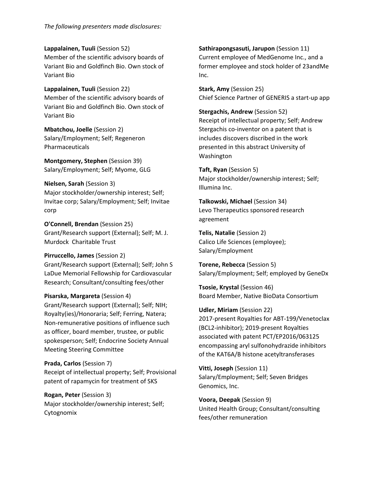*The following presenters made disclosures:*

**Lappalainen, Tuuli** (Session 52) Member of the scientific advisory boards of Variant Bio and Goldfinch Bio. Own stock of Variant Bio

**Lappalainen, Tuuli** (Session 22) Member of the scientific advisory boards of Variant Bio and Goldfinch Bio. Own stock of Variant Bio

**Mbatchou, Joelle** (Session 2) Salary/Employment; Self; Regeneron Pharmaceuticals

**Montgomery, Stephen** (Session 39) Salary/Employment; Self; Myome, GLG

**Nielsen, Sarah** (Session 3) Major stockholder/ownership interest; Self; Invitae corp; Salary/Employment; Self; Invitae corp

**O'Connell, Brendan** (Session 25) Grant/Research support (External); Self; M. J. Murdock Charitable Trust

**Pirruccello, James** (Session 2) Grant/Research support (External); Self; John S LaDue Memorial Fellowship for Cardiovascular Research; Consultant/consulting fees/other

## **Pisarska, Margareta** (Session 4)

Grant/Research support (External); Self; NIH; Royalty(ies)/Honoraria; Self; Ferring, Natera; Non-remunerative positions of influence such as officer, board member, trustee, or public spokesperson; Self; Endocrine Society Annual Meeting Steering Committee

**Prada, Carlos** (Session 7)

Receipt of intellectual property; Self; Provisional patent of rapamycin for treatment of SKS

**Rogan, Peter** (Session 3) Major stockholder/ownership interest; Self; Cytognomix

**Sathirapongsasuti, Jarupon** (Session 11) Current employee of MedGenome Inc., and a former employee and stock holder of 23andMe Inc.

**Stark, Amy** (Session 25) Chief Science Partner of GENERIS a start-up app

**Stergachis, Andrew** (Session 52) Receipt of intellectual property; Self; Andrew Stergachis co-inventor on a patent that is includes discovers discribed in the work presented in this abstract University of Washington

**Taft, Ryan** (Session 5) Major stockholder/ownership interest; Self; Illumina Inc.

**Talkowski, Michael** (Session 34) Levo Therapeutics sponsored research agreement

**Telis, Natalie** (Session 2) Calico Life Sciences (employee); Salary/Employment

**Torene, Rebecca** (Session 5) Salary/Employment; Self; employed by GeneDx

**Tsosie, Krystal** (Session 46) Board Member, Native BioData Consortium

**Udler, Miriam** (Session 22) 2017-present Royalties for ABT-199/Venetoclax (BCL2-inhibitor); 2019-present Royalties associated with patent PCT/EP2016/063125 encompassing aryl sulfonohydrazide inhibitors of the KAT6A/B histone acetyltransferases

**Vitti, Joseph** (Session 11) Salary/Employment; Self; Seven Bridges Genomics, Inc.

**Voora, Deepak** (Session 9) United Health Group; Consultant/consulting fees/other remuneration